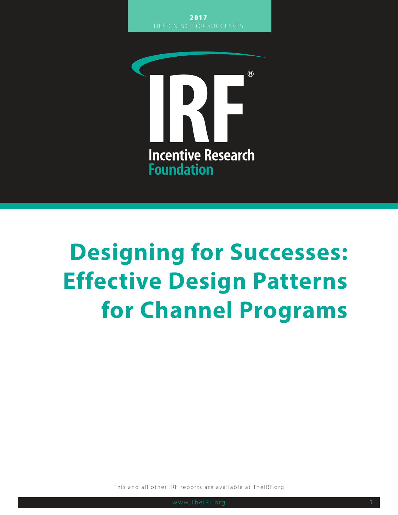

# **Designing for Successes: Effective Design Patterns for Channel Programs**

This and all other IRF reports are available at TheIRF.org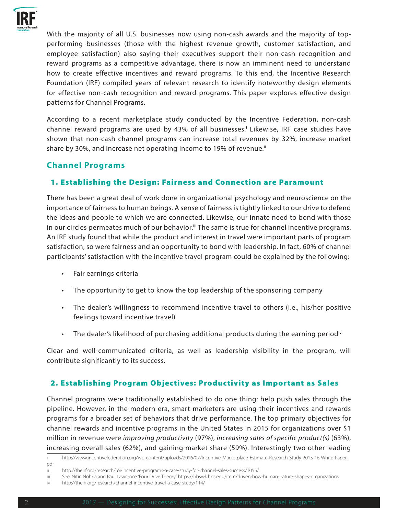

With the majority of all U.S. businesses now using non-cash awards and the majority of topperforming businesses (those with the highest revenue growth, customer satisfaction, and employee satisfaction) also saying their executives support their non-cash recognition and reward programs as a competitive advantage, there is now an imminent need to understand how to create effective incentives and reward programs. To this end, the Incentive Research Foundation (IRF) compiled years of relevant research to identify noteworthy design elements for effective non-cash recognition and reward programs. This paper explores effective design patterns for Channel Programs.

According to a recent marketplace study conducted by the Incentive Federation, non-cash channel reward programs are used by 43% of all businesses.<sup>†</sup> Likewise, IRF case studies have shown that non-cash channel programs can increase total revenues by 32%, increase market share by 30%, and increase net operating income to 19% of revenue.<sup>ii</sup>

# **Channel Programs**

### 1. Establishing the Design: Fairness and Connection are Paramount

There has been a great deal of work done in organizational psychology and neuroscience on the importance of fairness to human beings. A sense of fairness is tightly linked to our drive to defend the ideas and people to which we are connected. Likewise, our innate need to bond with those in our circles permeates much of our behavior.<sup>iii</sup> The same is true for channel incentive programs. An IRF study found that while the product and interest in travel were important parts of program satisfaction, so were fairness and an opportunity to bond with leadership. In fact, 60% of channel participants' satisfaction with the incentive travel program could be explained by the following:

- Fair earnings criteria
- The opportunity to get to know the top leadership of the sponsoring company
- The dealer's willingness to recommend incentive travel to others (i.e., his/her positive feelings toward incentive travel)
- The dealer's likelihood of purchasing additional products during the earning period<sup>iv</sup>

Clear and well-communicated criteria, as well as leadership visibility in the program, will contribute significantly to its success.

## 2. Establishing Program Objectives: Productivity as Important as Sales

Channel programs were traditionally established to do one thing: help push sales through the pipeline. However, in the modern era, smart marketers are using their incentives and rewards programs for a broader set of behaviors that drive performance. The top primary objectives for channel rewards and incentive programs in the United States in 2015 for organizations over \$1 million in revenue were *improving productivity* (97%), *increasing sales of specific product(s)* (63%), increasing overall sales (62%), and gaining market share (59%). Interestingly two other leading

i http://www.incentivefederation.org/wp-content/uploads/2016/07/Incentive-Marketplace-Estimate-Research-Study-2015-16-White-Paper. pdf

ii http://theirf.org/research/roi-incentive-programs-a-case-study-for-channel-sales-success/1055/

iii See: Nitin Nohria and Paul Lawrence "Four Drive Theory" https://hbswk.hbs.edu/item/driven-how-human-nature-shapes-organizations

iv http://theirf.org/research/channel-incentive-travel-a-case-study/114/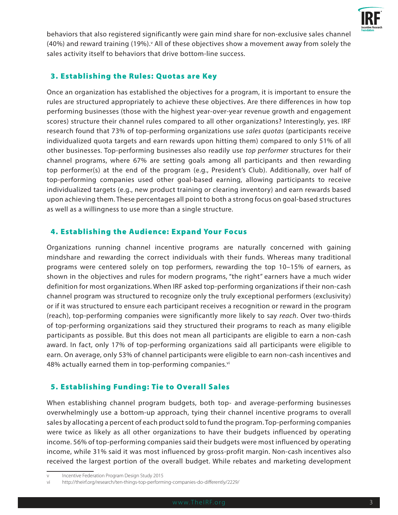

behaviors that also registered significantly were gain mind share for non-exclusive sales channel (40%) and reward training (19%).<sup>v</sup> All of these objectives show a movement away from solely the sales activity itself to behaviors that drive bottom-line success.

# 3. Establishing the Rules: Quotas are Key

Once an organization has established the objectives for a program, it is important to ensure the rules are structured appropriately to achieve these objectives. Are there differences in how top performing businesses (those with the highest year-over-year revenue growth and engagement scores) structure their channel rules compared to all other organizations? Interestingly, yes. IRF research found that 73% of top-performing organizations use *sales quotas* (participants receive individualized quota targets and earn rewards upon hitting them) compared to only 51% of all other businesses. Top-performing businesses also readily use *top performer* structures for their channel programs, where 67% are setting goals among all participants and then rewarding top performer(s) at the end of the program (e.g., President's Club). Additionally, over half of top-performing companies used other goal-based earning, allowing participants to receive individualized targets (e.g., new product training or clearing inventory) and earn rewards based upon achieving them. These percentages all point to both a strong focus on goal-based structures as well as a willingness to use more than a single structure.

# 4. Establishing the Audience: Expand Your Focus

Organizations running channel incentive programs are naturally concerned with gaining mindshare and rewarding the correct individuals with their funds. Whereas many traditional programs were centered solely on top performers, rewarding the top 10–15% of earners, as shown in the objectives and rules for modern programs, "the right" earners have a much wider definition for most organizations. When IRF asked top-performing organizations if their non-cash channel program was structured to recognize only the truly exceptional performers (exclusivity) or if it was structured to ensure each participant receives a recognition or reward in the program (reach), top-performing companies were significantly more likely to say *reach*. Over two-thirds of top-performing organizations said they structured their programs to reach as many eligible participants as possible. But this does not mean all participants are eligible to earn a non-cash award. In fact, only 17% of top-performing organizations said all participants were eligible to earn. On average, only 53% of channel participants were eligible to earn non-cash incentives and 48% actually earned them in top-performing companies.vi

# 5. Establishing Funding: Tie to Overall Sales

When establishing channel program budgets, both top- and average-performing businesses overwhelmingly use a bottom-up approach, tying their channel incentive programs to overall sales by allocating a percent of each product sold to fund the program. Top-performing companies were twice as likely as all other organizations to have their budgets influenced by operating income. 56% of top-performing companies said their budgets were most influenced by operating income, while 31% said it was most influenced by gross-profit margin. Non-cash incentives also received the largest portion of the overall budget. While rebates and marketing development

Incentive Federation Program Design Study 2015

vi http://theirf.org/research/ten-things-top-performing-companies-do-differently/2229/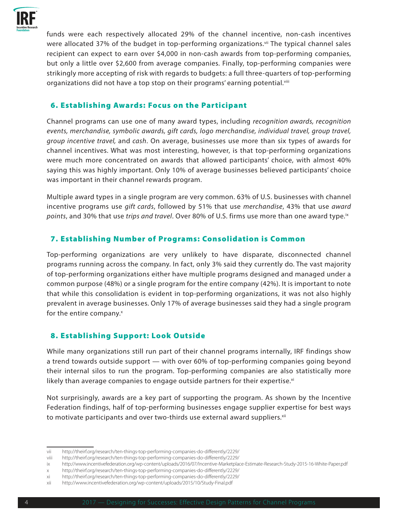

funds were each respectively allocated 29% of the channel incentive, non-cash incentives were allocated 37% of the budget in top-performing organizations.<sup>vii</sup> The typical channel sales recipient can expect to earn over \$4,000 in non-cash awards from top-performing companies, but only a little over \$2,600 from average companies. Finally, top-performing companies were strikingly more accepting of risk with regards to budgets: a full three-quarters of top-performing organizations did not have a top stop on their programs' earning potential.<sup>viii</sup>

#### 6. Establishing Awards: Focus on the Participant

Channel programs can use one of many award types, including *recognition awards, recognition events, merchandise, symbolic awards, gift cards, logo merchandise, individual travel, group travel, group incentive travel,* and *cash*. On average, businesses use more than six types of awards for channel incentives. What was most interesting, however, is that top-performing organizations were much more concentrated on awards that allowed participants' choice, with almost 40% saying this was highly important. Only 10% of average businesses believed participants' choice was important in their channel rewards program.

Multiple award types in a single program are very common. 63% of U.S. businesses with channel incentive programs use *gift cards*, followed by 51% that use *merchandise*, 43% that use *award points*, and 30% that use *trips and travel*. Over 80% of U.S. firms use more than one award type.ix

### 7. Establishing Number of Programs: Consolidation is Common

Top-performing organizations are very unlikely to have disparate, disconnected channel programs running across the company. In fact, only 3% said they currently do. The vast majority of top-performing organizations either have multiple programs designed and managed under a common purpose (48%) or a single program for the entire company (42%). It is important to note that while this consolidation is evident in top-performing organizations, it was not also highly prevalent in average businesses. Only 17% of average businesses said they had a single program for the entire company. $x$ 

## 8. Establishing Support: Look Outside

While many organizations still run part of their channel programs internally, IRF findings show a trend towards outside support — with over 60% of top-performing companies going beyond their internal silos to run the program. Top-performing companies are also statistically more likely than average companies to engage outside partners for their expertise. $x_i$ 

Not surprisingly, awards are a key part of supporting the program. As shown by the Incentive Federation findings, half of top-performing businesses engage supplier expertise for best ways to motivate participants and over two-thirds use external award suppliers.<sup>xii</sup>

vii http://theirf.org/research/ten-things-top-performing-companies-do-differently/2229/

viii http://theirf.org/research/ten-things-top-performing-companies-do-differently/2229/

ix http://www.incentivefederation.org/wp-content/uploads/2016/07/Incentive-Marketplace-Estimate-Research-Study-2015-16-White-Paper.pdf

x http://theirf.org/research/ten-things-top-performing-companies-do-differently/2229/

xi http://theirf.org/research/ten-things-top-performing-companies-do-differently/2229/

xii http://www.incentivefederation.org/wp-content/uploads/2015/10/Study-Final.pdf